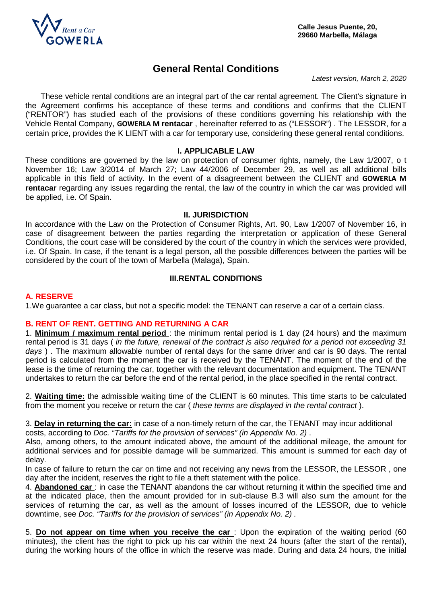

# **General Rental Conditions**

*Latest version, March 2, 2020*

These vehicle rental conditions are an integral part of the car rental agreement. The Client's signature in the Agreement confirms his acceptance of these terms and conditions and confirms that the CLIENT ("RENTOR") has studied each of the provisions of these conditions governing his relationship with the Vehicle Rental Company, **GOWERLA M rentacar** , hereinafter referred to as ("LESSOR") . The LESSOR, for a certain price, provides the K LIENT with a car for temporary use, considering these general rental conditions.

### **I. APPLICABLE LAW**

These conditions are governed by the law on protection of consumer rights, namely, the Law 1/2007, o t November 16; Law 3/2014 of March 27; Law 44/2006 of December 29, as well as all additional bills applicable in this field of activity. In the event of a disagreement between the CLIENT and **GOWERLA M rentacar** regarding any issues regarding the rental, the law of the country in which the car was provided will be applied, i.e. Of Spain.

#### **II. JURISDICTION**

In accordance with the Law on the Protection of Consumer Rights, Art. 90, Law 1/2007 of November 16, in case of disagreement between the parties regarding the interpretation or application of these General Conditions, the court case will be considered by the court of the country in which the services were provided, i.e. Of Spain. In case, if the tenant is a legal person, all the possible differences between the parties will be considered by the court of the town of Marbella (Malaga), Spain.

### **III.RENTAL CONDITIONS**

### **A. RESERVE**

1.We guarantee a car class, but not a specific model: the TENANT can reserve a car of a certain class.

### **B. RENT OF RENT. GETTING AND RETURNING A CAR**

1. **Minimum / maximum rental period** : the minimum rental period is 1 day (24 hours) and the maximum rental period is 31 days ( *in the future, renewal of the contract is also required for a period not exceeding 31 days* ) . The maximum allowable number of rental days for the same driver and car is 90 days. The rental period is calculated from the moment the car is received by the TENANT. The moment of the end of the lease is the time of returning the car, together with the relevant documentation and equipment. The TENANT undertakes to return the car before the end of the rental period, in the place specified in the rental contract.

2. **Waiting time:** the admissible waiting time of the CLIENT is 60 minutes. This time starts to be calculated from the moment you receive or return the car ( *these terms are displayed in the rental contract* ).

3. **Delay in returning the car:** in case of a non-timely return of the car, the TENANT may incur additional costs, according to *Doc. "Tariffs for the provision of services" (in Appendix No. 2)* .

Also, among others, to the amount indicated above, the amount of the additional mileage, the amount for additional services and for possible damage will be summarized. This amount is summed for each day of delay.

In case of failure to return the car on time and not receiving any news from the LESSOR, the LESSOR , one day after the incident, reserves the right to file a theft statement with the police.

4. **Abandoned car** : in case the TENANT abandons the car without returning it within the specified time and at the indicated place, then the amount provided for in sub-clause B.3 will also sum the amount for the services of returning the car, as well as the amount of losses incurred of the LESSOR, due to vehicle downtime, see *Doc. "Tariffs for the provision of services" (in Appendix No. 2) .*

5. **Do not appear on time when you receive the car** : Upon the expiration of the waiting period (60 minutes), the client has the right to pick up his car within the next 24 hours (after the start of the rental), during the working hours of the office in which the reserve was made. During and data 24 hours, the initial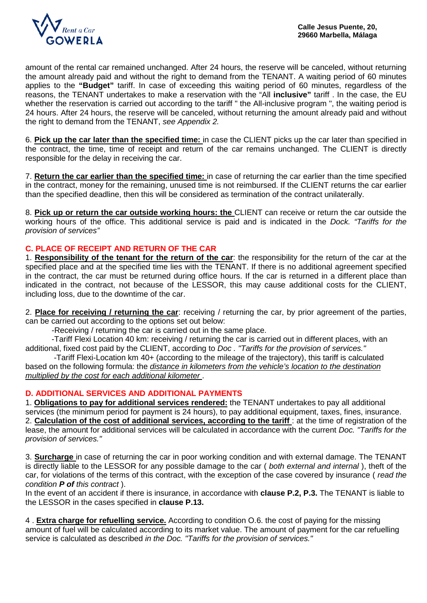

amount of the rental car remained unchanged. After 24 hours, the reserve will be canceled, without returning the amount already paid and without the right to demand from the TENANT. A waiting period of 60 minutes applies to the **"Budget"** tariff. In case of exceeding this waiting period of 60 minutes, regardless of the reasons, the TENANT undertakes to make a reservation with the "All **inclusive"** tariff . In the case, the EU whether the reservation is carried out according to the tariff " the All-inclusive program ", the waiting period is 24 hours. After 24 hours, the reserve will be canceled, without returning the amount already paid and without the right to demand from the TENANT, *see Appendix 2.*

6. **Pick up the car later than the specified time:** in case the CLIENT picks up the car later than specified in the contract, the time, time of receipt and return of the car remains unchanged. The CLIENT is directly responsible for the delay in receiving the car.

7. **Return the car earlier than the specified time:** in case of returning the car earlier than the time specified in the contract, money for the remaining, unused time is not reimbursed. If the CLIENT returns the car earlier than the specified deadline, then this will be considered as termination of the contract unilaterally.

8. **Pick up or return the car outside working hours: the** CLIENT can receive or return the car outside the working hours of the office. This additional service is paid and is indicated in the *Dock. "Tariffs for the provision of services"*

# **C. PLACE OF RECEIPT AND RETURN OF THE CAR**

1. **Responsibility of the tenant for the return of the car**: the responsibility for the return of the car at the specified place and at the specified time lies with the TENANT. If there is no additional agreement specified in the contract, the car must be returned during office hours. If the car is returned in a different place than indicated in the contract, not because of the LESSOR, this may cause additional costs for the CLIENT, including loss, due to the downtime of the car.

2. **Place for receiving / returning the car**: receiving / returning the car, by prior agreement of the parties, can be carried out according to the options set out below:

-Receiving / returning the car is carried out in the same place.

 -Tariff Flexi Location 40 km: receiving / returning the car is carried out in different places, with an additional, fixed cost paid by the CLIENT, according to *Doc . "Tariffs for the provision of services."*

 -Tariff Flexi-Location km 40+ (according to the mileage of the trajectory), this tariff is calculated based on the following formula: the *distance in kilometers from the vehicle's location to the destination multiplied by the cost for each additional kilometer* .

### **D. ADDITIONAL SERVICES AND ADDITIONAL PAYMENTS**

1. **Obligations to pay for additional services rendered:** the TENANT undertakes to pay all additional services (the minimum period for payment is 24 hours), to pay additional equipment, taxes, fines, insurance. 2. **Calculation of the cost of additional services, according to the tariff** : at the time of registration of the lease, the amount for additional services will be calculated in accordance with the current *Doc. "Tariffs for the provision of services."*

3. **Surcharge** in case of returning the car in poor working condition and with external damage. The TENANT is directly liable to the LESSOR for any possible damage to the car ( *both external and internal* ), theft of the car, for violations of the terms of this contract, with the exception of the case covered by insurance ( *read the condition P of this contract* ).

In the event of an accident if there is insurance, in accordance with **clause P.2, P.3.** The TENANT is liable to the LESSOR in the cases specified in **clause P.13.**

4 . **Extra charge for refuelling service.** According to condition O.6. the cost of paying for the missing amount of fuel will be calculated according to its market value. The amount of payment for the car refuelling service is calculated as described *in the Doc. "Tariffs for the provision of services."*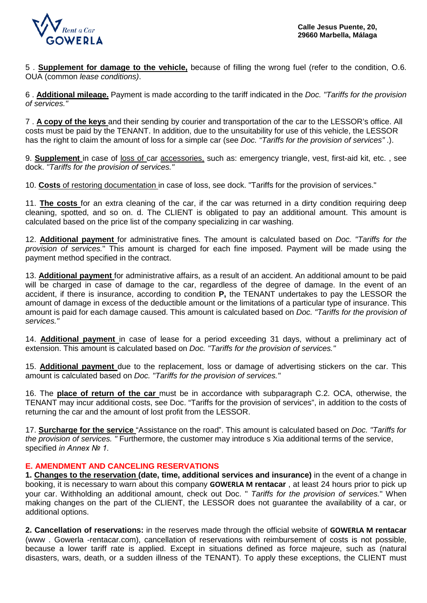

5 . **Supplement for damage to the vehicle,** because of filling the wrong fuel (refer to the condition, O.6. OUA (common *lease conditions)*.

6 . **Additional mileage.** Payment is made according to the tariff indicated in the *Doc. "Tariffs for the provision of services."*

7 . **A copy of the keys** and their sending by courier and transportation of the car to the LESSOR's office. All costs must be paid by the TENANT. In addition, due to the unsuitability for use of this vehicle, the LESSOR has the right to claim the amount of loss for a simple car (see *Doc. "Tariffs for the provision of services"* .).

9. **Supplement** in case of loss of car accessories, such as: emergency triangle, vest, first-aid kit, etc. , see dock. *"Tariffs for the provision of services."*

10. **Costs** of restoring documentation in case of loss, see dock. "Tariffs for the provision of services."

11. **The costs** for an extra cleaning of the car, if the car was returned in a dirty condition requiring deep cleaning, spotted, and so on. d. The CLIENT is obligated to pay an additional amount. This amount is calculated based on the price list of the company specializing in car washing.

12. **Additional payment** for administrative fines. The amount is calculated based on *Doc. "Tariffs for the provision of services.*" This amount is charged for each fine imposed. Payment will be made using the payment method specified in the contract.

13. **Additional payment** for administrative affairs, as a result of an accident. An additional amount to be paid will be charged in case of damage to the car, regardless of the degree of damage. In the event of an accident, if there is insurance, according to condition **P,** the TENANT undertakes to pay the LESSOR the amount of damage in excess of the deductible amount or the limitations of a particular type of insurance. This amount is paid for each damage caused. This amount is calculated based on *Doc. "Tariffs for the provision of services."*

14. **Additional payment** in case of lease for a period exceeding 31 days, without a preliminary act of extension. This amount is calculated based on *Doc. "Tariffs for the provision of services."*

15. **Additional payment** due to the replacement, loss or damage of advertising stickers on the car. This amount is calculated based on *Doc. "Tariffs for the provision of services."*

16. The **place of return of the car** must be in accordance with subparagraph C.2. OCA, otherwise, the TENANT may incur additional costs, see Doc. "Tariffs for the provision of services", in addition to the costs of returning the car and the amount of lost profit from the LESSOR.

17. **Surcharge for the service** "Assistance on the road". This amount is calculated based on *Doc. "Tariffs for the provision of services. "* Furthermore, the customer may introduce s Xia additional terms of the service, specified *in Annex № 1.*

### **E. AMENDMENT AND CANCELING RESERVATIONS**

**1. Changes to the reservation (date, time, additional services and insurance)** in the event of a change in booking, it is necessary to warn about this company **GOWERLA M rentacar** , at least 24 hours prior to pick up your car. Withholding an additional amount, check out Doc. " *Tariffs for the provision of services.*" When making changes on the part of the CLIENT, the LESSOR does not guarantee the availability of a car, or additional options.

**2. Cancellation of reservations:** in the reserves made through the official website of **GOWERLA M rentacar**  (www . Gowerla -rentacar.com), cancellation of reservations with reimbursement of costs is not possible, because a lower tariff rate is applied. Except in situations defined as force majeure, such as (natural disasters, wars, death, or a sudden illness of the TENANT). To apply these exceptions, the CLIENT must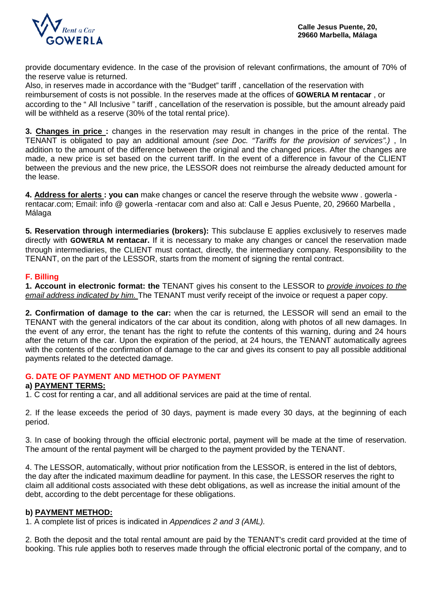

provide documentary evidence. In the case of the provision of relevant confirmations, the amount of 70% of the reserve value is returned.

Also, in reserves made in accordance with the "Budget" tariff , cancellation of the reservation with reimbursement of costs is not possible. In the reserves made at the offices of **GOWERLA M rentacar** , or according to the " All Inclusive " tariff , cancellation of the reservation is possible, but the amount already paid will be withheld as a reserve (30% of the total rental price).

**3. Changes in price :** changes in the reservation may result in changes in the price of the rental. The TENANT is obligated to pay an additional amount *(see Doc. "Tariffs for the provision of services".)* , In addition to the amount of the difference between the original and the changed prices. After the changes are made, a new price is set based on the current tariff. In the event of a difference in favour of the CLIENT between the previous and the new price, the LESSOR does not reimburse the already deducted amount for the lease.

**4. Address for alerts : you can** make changes or cancel the reserve through the website www . gowerla rentacar.com; Email: info @ gowerla -rentacar com and also at: Call e Jesus Puente, 20, 29660 Marbella , Málaga

**5. Reservation through intermediaries (brokers):** This subclause E applies exclusively to reserves made directly with **GOWERLA M rentacar.** If it is necessary to make any changes or cancel the reservation made through intermediaries, the CLIENT must contact, directly, the intermediary company. Responsibility to the TENANT, on the part of the LESSOR, starts from the moment of signing the rental contract.

# **F. Billing**

**1. Account in electronic format: the** TENANT gives his consent to the LESSOR to *provide invoices to the email address indicated by him.* The TENANT must verify receipt of the invoice or request a paper copy.

**2. Confirmation of damage to the car:** when the car is returned, the LESSOR will send an email to the TENANT with the general indicators of the car about its condition, along with photos of all new damages. In the event of any error, the tenant has the right to refute the contents of this warning, during and 24 hours after the return of the car. Upon the expiration of the period, at 24 hours, the TENANT automatically agrees with the contents of the confirmation of damage to the car and gives its consent to pay all possible additional payments related to the detected damage.

### **G. DATE OF PAYMENT AND METHOD OF PAYMENT**

### **a) PAYMENT TERMS:**

1. C cost for renting a car, and all additional services are paid at the time of rental.

2. If the lease exceeds the period of 30 days, payment is made every 30 days, at the beginning of each period.

3. In case of booking through the official electronic portal, payment will be made at the time of reservation. The amount of the rental payment will be charged to the payment provided by the TENANT.

4. The LESSOR, automatically, without prior notification from the LESSOR, is entered in the list of debtors, the day after the indicated maximum deadline for payment. In this case, the LESSOR reserves the right to claim all additional costs associated with these debt obligations, as well as increase the initial amount of the debt, according to the debt percentage for these obligations.

### **b) PAYMENT METHOD:**

1. A complete list of prices is indicated in *Appendices 2 and 3 (AML).* 

2. Both the deposit and the total rental amount are paid by the TENANT's credit card provided at the time of booking. This rule applies both to reserves made through the official electronic portal of the company, and to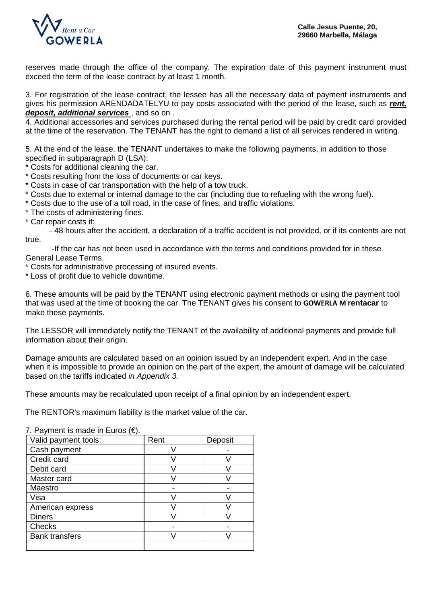

reserves made through the office of the company. The expiration date of this payment instrument must exceed the term of the lease contract by at least 1 month.

3. For registration of the lease contract, the lessee has all the necessary data of payment instruments and gives his permission ARENDADATELYU to pay costs associated with the period of the lease, such as *rent, deposit, additional services* , and so on .

4. Additional accessories and services purchased during the rental period will be paid by credit card provided at the time of the reservation. The TENANT has the right to demand a list of all services rendered in writing.

5. At the end of the lease, the TENANT undertakes to make the following payments, in addition to those specified in subparagraph D (LSA):

\* Costs for additional cleaning the car.

- \* Costs resulting from the loss of documents or car keys.
- \* Costs in case of car transportation with the help of a tow truck.
- \* Costs due to external or internal damage to the car (including due to refueling with the wrong fuel).
- \* Costs due to the use of a toll road, in the case of fines, and traffic violations.
- \* The costs of administering fines.

\* Car repair costs if:

 - 48 hours after the accident, a declaration of a traffic accident is not provided, or if its contents are not true.

 -If the car has not been used in accordance with the terms and conditions provided for in these General Lease Terms.

\* Costs for administrative processing of insured events.

\* Loss of profit due to vehicle downtime.

6. These amounts will be paid by the TENANT using electronic payment methods or using the payment tool that was used at the time of booking the car. The TENANT gives his consent to **GOWERLA M rentacar** to make these payments.

The LESSOR will immediately notify the TENANT of the availability of additional payments and provide full information about their origin.

Damage amounts are calculated based on an opinion issued by an independent expert. And in the case when it is impossible to provide an opinion on the part of the expert, the amount of damage will be calculated based on the tariffs indicated *in Appendix 3.*

These amounts may be recalculated upon receipt of a final opinion by an independent expert.

The RENTOR's maximum liability is the market value of the car.

| $\overline{\mathfrak{l}}$ . Layment is made in Luios (C). |      |         |
|-----------------------------------------------------------|------|---------|
| Valid payment tools:                                      | Rent | Deposit |
| Cash payment                                              |      |         |
| Credit card                                               |      |         |
| Debit card                                                |      |         |
| Master card                                               |      |         |
| Maestro                                                   |      |         |
| Visa                                                      |      |         |
| American express                                          |      |         |
| <b>Diners</b>                                             |      |         |
| <b>Checks</b>                                             |      |         |
| <b>Bank transfers</b>                                     |      |         |
|                                                           |      |         |

7. Payment is made in Euros (€).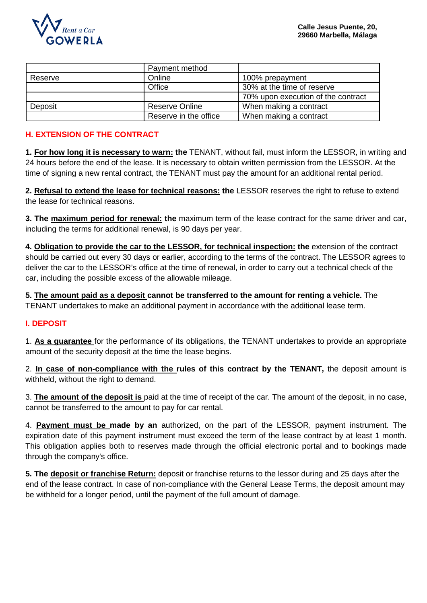

|         | Payment method        |                                    |
|---------|-----------------------|------------------------------------|
| Reserve | Online                | 100% prepayment                    |
|         | Office                | 30% at the time of reserve         |
|         |                       | 70% upon execution of the contract |
| Deposit | Reserve Online        | When making a contract             |
|         | Reserve in the office | When making a contract             |

# **H. EXTENSION OF THE CONTRACT**

**1. For how long it is necessary to warn: the** TENANT, without fail, must inform the LESSOR, in writing and 24 hours before the end of the lease. It is necessary to obtain written permission from the LESSOR. At the time of signing a new rental contract, the TENANT must pay the amount for an additional rental period.

**2. Refusal to extend the lease for technical reasons: the** LESSOR reserves the right to refuse to extend the lease for technical reasons.

**3. The maximum period for renewal: the** maximum term of the lease contract for the same driver and car, including the terms for additional renewal, is 90 days per year.

**4. Obligation to provide the car to the LESSOR, for technical inspection: the** extension of the contract should be carried out every 30 days or earlier, according to the terms of the contract. The LESSOR agrees to deliver the car to the LESSOR's office at the time of renewal, in order to carry out a technical check of the car, including the possible excess of the allowable mileage.

**5. The amount paid as a deposit cannot be transferred to the amount for renting a vehicle.** The TENANT undertakes to make an additional payment in accordance with the additional lease term.

### **I. DEPOSIT**

1. **As a guarantee** for the performance of its obligations, the TENANT undertakes to provide an appropriate amount of the security deposit at the time the lease begins.

2. **In case of non-compliance with the rules of this contract by the TENANT,** the deposit amount is withheld, without the right to demand.

3. **The amount of the deposit is** paid at the time of receipt of the car. The amount of the deposit, in no case, cannot be transferred to the amount to pay for car rental.

4. **Payment must be made by an** authorized, on the part of the LESSOR, payment instrument. The expiration date of this payment instrument must exceed the term of the lease contract by at least 1 month. This obligation applies both to reserves made through the official electronic portal and to bookings made through the company's office.

**5. The deposit or franchise Return:** deposit or franchise returns to the lessor during and 25 days after the end of the lease contract. In case of non-compliance with the General Lease Terms, the deposit amount may be withheld for a longer period, until the payment of the full amount of damage.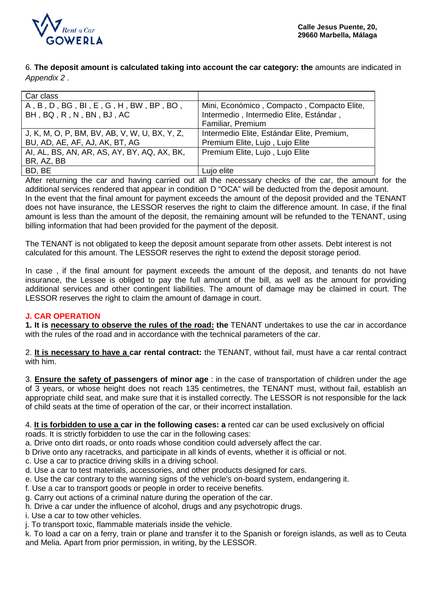

6. **The deposit amount is calculated taking into account the car category: the** amounts are indicated in *Appendix 2* .

| Car class                                     |                                            |
|-----------------------------------------------|--------------------------------------------|
| A, B, D, BG, BI, E, G, H, BW, BP, BO,         | Mini, Económico, Compacto, Compacto Elite, |
| BH, BQ, R, N, BN, BJ, AC                      | Intermedio, Intermedio Elite, Estándar,    |
|                                               | Familiar, Premium                          |
| J, K, M, O, P, BM, BV, AB, V, W, U, BX, Y, Z, | Intermedio Elite, Estándar Elite, Premium, |
| BU, AD, AE, AF, AJ, AK, BT, AG                | Premium Elite, Lujo, Lujo Elite            |
| AI, AL, BS, AN, AR, AS, AY, BY, AQ, AX, BK,   | Premium Elite, Lujo, Lujo Elite            |
| BR, AZ, BB                                    |                                            |
| BD, BE                                        | Lujo elite                                 |

After returning the car and having carried out all the necessary checks of the car, the amount for the additional services rendered that appear in condition D "OCA" will be deducted from the deposit amount. In the event that the final amount for payment exceeds the amount of the deposit provided and the TENANT does not have insurance, the LESSOR reserves the right to claim the difference amount. In case, if the final amount is less than the amount of the deposit, the remaining amount will be refunded to the TENANT, using billing information that had been provided for the payment of the deposit.

The TENANT is not obligated to keep the deposit amount separate from other assets. Debt interest is not calculated for this amount. The LESSOR reserves the right to extend the deposit storage period.

In case , if the final amount for payment exceeds the amount of the deposit, and tenants do not have insurance, the Lessee is obliged to pay the full amount of the bill, as well as the amount for providing additional services and other contingent liabilities. The amount of damage may be claimed in court. The LESSOR reserves the right to claim the amount of damage in court.

# **J. CAR OPERATION**

**1. It is necessary to observe the rules of the road: the** TENANT undertakes to use the car in accordance with the rules of the road and in accordance with the technical parameters of the car.

2. **It is necessary to have a car rental contract:** the TENANT, without fail, must have a car rental contract with him.

3. **Ensure the safety of passengers of minor age** : in the case of transportation of children under the age of 3 years, or whose height does not reach 135 centimetres, the TENANT must, without fail, establish an appropriate child seat, and make sure that it is installed correctly. The LESSOR is not responsible for the lack of child seats at the time of operation of the car, or their incorrect installation.

4. **It is forbidden to use a car in the following cases: a** rented car can be used exclusively on official roads. It is strictly forbidden to use the car in the following cases:

a. Drive onto dirt roads, or onto roads whose condition could adversely affect the car.

b Drive onto any racetracks, and participate in all kinds of events, whether it is official or not.

c. Use a car to practice driving skills in a driving school.

d. Use a car to test materials, accessories, and other products designed for cars.

- e. Use the car contrary to the warning signs of the vehicle's on-board system, endangering it.
- f. Use a car to transport goods or people in order to receive benefits.

g. Carry out actions of a criminal nature during the operation of the car.

h. Drive a car under the influence of alcohol, drugs and any psychotropic drugs.

i. Use a car to tow other vehicles.

j. To transport toxic, flammable materials inside the vehicle.

k. To load a car on a ferry, train or plane and transfer it to the Spanish or foreign islands, as well as to Ceuta and Melia. Apart from prior permission, in writing, by the LESSOR.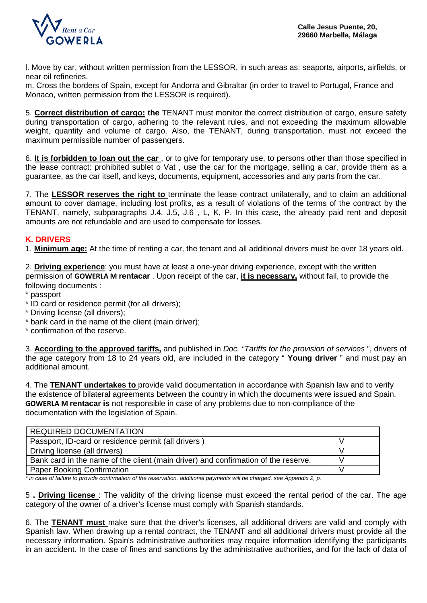

l. Move by car, without written permission from the LESSOR, in such areas as: seaports, airports, airfields, or near oil refineries.

m. Cross the borders of Spain, except for Andorra and Gibraltar (in order to travel to Portugal, France and Monaco, written permission from the LESSOR is required).

5. **Correct distribution of cargo: the** TENANT must monitor the correct distribution of cargo, ensure safety during transportation of cargo, adhering to the relevant rules, and not exceeding the maximum allowable weight, quantity and volume of cargo. Also, the TENANT, during transportation, must not exceed the maximum permissible number of passengers.

6. **It is forbidden to loan out the car** , or to give for temporary use, to persons other than those specified in the lease contract: prohibited sublet o Vat , use the car for the mortgage, selling a car, provide them as a guarantee, as the car itself, and keys, documents, equipment, accessories and any parts from the car.

7. The **LESSOR reserves the right to** terminate the lease contract unilaterally, and to claim an additional amount to cover damage, including lost profits, as a result of violations of the terms of the contract by the TENANT, namely, subparagraphs J.4, J.5, J.6 , L, K, P. In this case, the already paid rent and deposit amounts are not refundable and are used to compensate for losses.

# **K. DRIVERS**

1. **Minimum age:** At the time of renting a car, the tenant and all additional drivers must be over 18 years old.

2. **Driving experience**: you must have at least a one-year driving experience, except with the written permission of **GOWERLA M rentacar** . Upon receipt of the car, **it is necessary,** without fail, to provide the following documents :

- \* passport
- \* ID card or residence permit (for all drivers);
- \* Driving license (all drivers);
- \* bank card in the name of the client (main driver);
- \* confirmation of the reserve.

3. **According to the approved tariffs,** and published in *Doc. "Tariffs for the provision of services* ", drivers of the age category from 18 to 24 years old, are included in the category " **Young driver** " and must pay an additional amount.

4. The **TENANT undertakes to** provide valid documentation in accordance with Spanish law and to verify the existence of bilateral agreements between the country in which the documents were issued and Spain. **GOWERLA M rentacar is** not responsible in case of any problems due to non-compliance of the documentation with the legislation of Spain.

*\* in case of failure to provide confirmation of the reservation, additional payments will be charged, see Appendix 2, p.*

5 **. Driving license** : The validity of the driving license must exceed the rental period of the car. The age category of the owner of a driver's license must comply with Spanish standards.

6. The **TENANT must** make sure that the driver's licenses, all additional drivers are valid and comply with Spanish law. When drawing up a rental contract, the TENANT and all additional drivers must provide all the necessary information. Spain's administrative authorities may require information identifying the participants in an accident. In the case of fines and sanctions by the administrative authorities, and for the lack of data of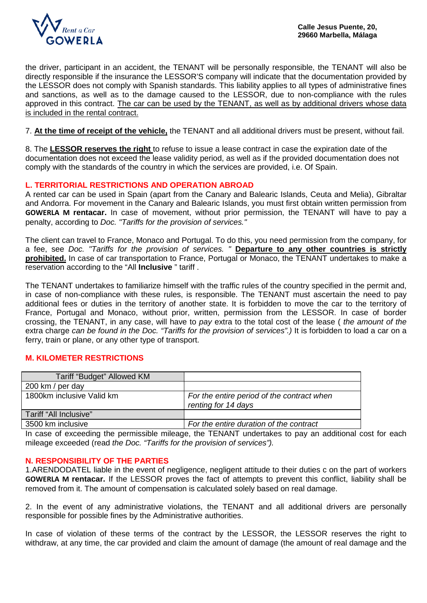

the driver, participant in an accident, the TENANT will be personally responsible, the TENANT will also be directly responsible if the insurance the LESSOR'S company will indicate that the documentation provided by the LESSOR does not comply with Spanish standards. This liability applies to all types of administrative fines and sanctions, as well as to the damage caused to the LESSOR, due to non-compliance with the rules approved in this contract. The car can be used by the TENANT, as well as by additional drivers whose data is included in the rental contract.

7. **At the time of receipt of the vehicle,** the TENANT and all additional drivers must be present, without fail.

8. The **LESSOR reserves the right** to refuse to issue a lease contract in case the expiration date of the documentation does not exceed the lease validity period, as well as if the provided documentation does not comply with the standards of the country in which the services are provided, i.e. Of Spain.

#### **L. TERRITORIAL RESTRICTIONS AND OPERATION ABROAD**

A rented car can be used in Spain (apart from the Canary and Balearic Islands, Ceuta and Melia), Gibraltar and Andorra. For movement in the Canary and Balearic Islands, you must first obtain written permission from **GOWERLA M rentacar.** In case of movement, without prior permission, the TENANT will have to pay a penalty, according to *Doc. "Tariffs for the provision of services."*

The client can travel to France, Monaco and Portugal. To do this, you need permission from the company, for a fee, see *Doc. "Tariffs for the provision of services. "* **Departure to any other countries is strictly prohibited.** In case of car transportation to France, Portugal or Monaco, the TENANT undertakes to make a reservation according to the "All **Inclusive** " tariff .

The TENANT undertakes to familiarize himself with the traffic rules of the country specified in the permit and, in case of non-compliance with these rules, is responsible. The TENANT must ascertain the need to pay additional fees or duties in the territory of another state. It is forbidden to move the car to the territory of France, Portugal and Monaco, without prior, written, permission from the LESSOR. In case of border crossing, the TENANT, in any case, will have to *pay* extra to the total cost of the lease ( *the amount of the*  extra charge *can be found in the Doc. "Tariffs for the provision of services".*) It is forbidden to load a car on a ferry, train or plane, or any other type of transport.

### **M. KILOMETER RESTRICTIONS**

| Tariff "Budget" Allowed KM |                                                                   |
|----------------------------|-------------------------------------------------------------------|
| 200 km / per day           |                                                                   |
| 1800km inclusive Valid km  | For the entire period of the contract when<br>renting for 14 days |
| Tariff "All Inclusive"     |                                                                   |
| 3500 km inclusive          | For the entire duration of the contract                           |

In case of exceeding the permissible mileage, the TENANT undertakes to pay an additional cost for each mileage exceeded (read *the Doc. "Tariffs for the provision of services").* 

#### **N. RESPONSIBILITY OF THE PARTIES**

1.ARENDODATEL liable in the event of negligence, negligent attitude to their duties c on the part of workers **GOWERLA M rentacar.** If the LESSOR proves the fact of attempts to prevent this conflict, liability shall be removed from it. The amount of compensation is calculated solely based on real damage.

2. In the event of any administrative violations, the TENANT and all additional drivers are personally responsible for possible fines by the Administrative authorities.

In case of violation of these terms of the contract by the LESSOR, the LESSOR reserves the right to withdraw, at any time, the car provided and claim the amount of damage (the amount of real damage and the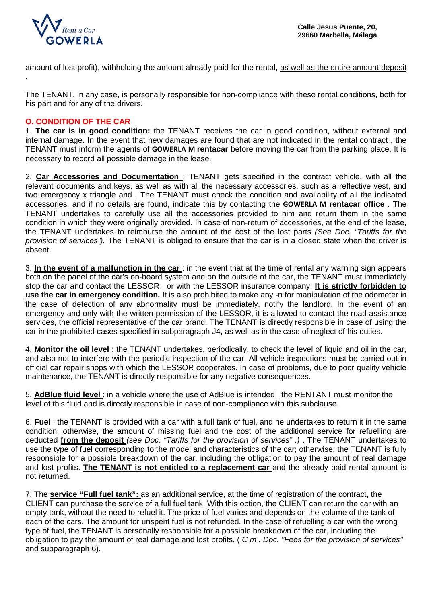

amount of lost profit), withholding the amount already paid for the rental, as well as the entire amount deposit .

The TENANT, in any case, is personally responsible for non-compliance with these rental conditions, both for his part and for any of the drivers.

### **O. CONDITION OF THE CAR**

1. **The car is in good condition:** the TENANT receives the car in good condition, without external and internal damage. In the event that new damages are found that are not indicated in the rental contract , the TENANT must inform the agents of **GOWERLA M rentacar** before moving the car from the parking place. It is necessary to record all possible damage in the lease.

2. **Car Accessories and Documentation** : TENANT gets specified in the contract vehicle, with all the relevant documents and keys, as well as with all the necessary accessories, such as a reflective vest, and two emergency x triangle and . The TENANT must check the condition and availability of all the indicated accessories, and if no details are found, indicate this by contacting the **GOWERLA M rentacar office** . The TENANT undertakes to carefully use all the accessories provided to him and return them in the same condition in which they were originally provided. In case of non-return of accessories, at the end of the lease, the TENANT undertakes to reimburse the amount of the cost of the lost parts *(See Doc. "Tariffs for the provision of services").* The TENANT is obliged to ensure that the car is in a closed state when the driver is absent.

3. **In the event of a malfunction in the car** : in the event that at the time of rental any warning sign appears both on the panel of the car's on-board system and on the outside of the car, the TENANT must immediately stop the car and contact the LESSOR , or with the LESSOR insurance company. **It is strictly forbidden to use the car in emergency condition.** It is also prohibited to make any -n for manipulation of the odometer in the case of detection of any abnormality must be immediately, notify the landlord. In the event of an emergency and only with the written permission of the LESSOR, it is allowed to contact the road assistance services, the official representative of the car brand. The TENANT is directly responsible in case of using the car in the prohibited cases specified in subparagraph J4, as well as in the case of neglect of his duties.

4. **Monitor the oil level** : the TENANT undertakes, periodically, to check the level of liquid and oil in the car, and also not to interfere with the periodic inspection of the car. All vehicle inspections must be carried out in official car repair shops with which the LESSOR cooperates. In case of problems, due to poor quality vehicle maintenance, the TENANT is directly responsible for any negative consequences.

5. **AdBlue fluid level** : in a vehicle where the use of AdBlue is intended , the RENTANT must monitor the level of this fluid and is directly responsible in case of non-compliance with this subclause.

6. **Fuel** : the TENANT is provided with a car with a full tank of fuel, and he undertakes to return it in the same condition, otherwise, the amount of missing fuel and the cost of the additional service for refuelling are deducted **from the deposit** *(see Doc. "Tariffs for the provision of services" .)* . The TENANT undertakes to use the type of fuel corresponding to the model and characteristics of the car; otherwise, the TENANT is fully responsible for a possible breakdown of the car, including the obligation to pay the amount of real damage and lost profits. **The TENANT is not entitled to a replacement car** and the already paid rental amount is not returned.

7. The **service "Full fuel tank":** as an additional service, at the time of registration of the contract, the CLIENT can purchase the service of a full fuel tank. With this option, the CLIENT can return the car with an empty tank, without the need to refuel it. The price of fuel varies and depends on the volume of the tank of each of the cars. The amount for unspent fuel is not refunded. In the case of refuelling a car with the wrong type of fuel, the TENANT is personally responsible for a possible breakdown of the car, including the obligation to pay the amount of real damage and lost profits. ( *C m . Doc. "Fees for the provision of services"*  and subparagraph 6).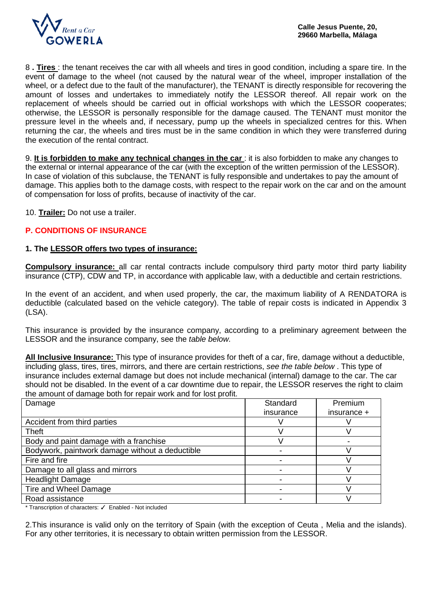

8 **. Tires** : the tenant receives the car with all wheels and tires in good condition, including a spare tire. In the event of damage to the wheel (not caused by the natural wear of the wheel, improper installation of the wheel, or a defect due to the fault of the manufacturer), the TENANT is directly responsible for recovering the amount of losses and undertakes to immediately notify the LESSOR thereof. All repair work on the replacement of wheels should be carried out in official workshops with which the LESSOR cooperates; otherwise, the LESSOR is personally responsible for the damage caused. The TENANT must monitor the pressure level in the wheels and, if necessary, pump up the wheels in specialized centres for this. When returning the car, the wheels and tires must be in the same condition in which they were transferred during the execution of the rental contract.

9. **It is forbidden to make any technical changes in the car** : it is also forbidden to make any changes to the external or internal appearance of the car (with the exception of the written permission of the LESSOR). In case of violation of this subclause, the TENANT is fully responsible and undertakes to pay the amount of damage. This applies both to the damage costs, with respect to the repair work on the car and on the amount of compensation for loss of profits, because of inactivity of the car.

10. **Trailer:** Do not use a trailer.

# **P. CONDITIONS OF INSURANCE**

#### **1. The LESSOR offers two types of insurance:**

**Compulsory insurance:** all car rental contracts include compulsory third party motor third party liability insurance (CTP), CDW and TP, in accordance with applicable law, with a deductible and certain restrictions.

In the event of an accident, and when used properly, the car, the maximum liability of A RENDATORA is deductible (calculated based on the vehicle category). The table of repair costs is indicated in Appendix 3 (LSA).

This insurance is provided by the insurance company, according to a preliminary agreement between the LESSOR and the insurance company, see the *table below.*

**All Inclusive Insurance:** This type of insurance provides for theft of a car, fire, damage without a deductible, including glass, tires, tires, mirrors, and there are certain restrictions, *see the table below* . This type of insurance includes external damage but does not include mechanical (internal) damage to the car. The car should not be disabled. In the event of a car downtime due to repair, the LESSOR reserves the right to claim the amount of damage both for repair work and for lost profit.

| Damage                                          | Standard  | Premium     |
|-------------------------------------------------|-----------|-------------|
|                                                 | insurance | insurance + |
| Accident from third parties                     |           |             |
| Theft                                           |           |             |
| Body and paint damage with a franchise          |           |             |
| Bodywork, paintwork damage without a deductible |           |             |
| Fire and fire                                   |           |             |
| Damage to all glass and mirrors                 |           |             |
| <b>Headlight Damage</b>                         |           |             |
| Tire and Wheel Damage                           |           |             |
| Road assistance                                 |           |             |

\* Transcription of characters: ✓ Enabled - Not included

2.This insurance is valid only on the territory of Spain (with the exception of Ceuta , Melia and the islands). For any other territories, it is necessary to obtain written permission from the LESSOR.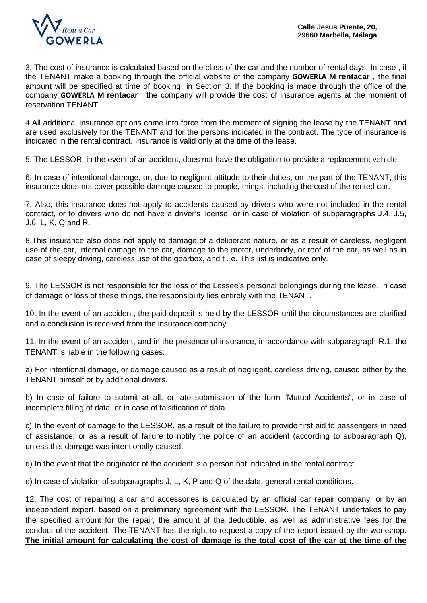

3. The cost of insurance is calculated based on the class of the car and the number of rental days. In case , if the TENANT make a booking through the official website of the company **GOWERLA M rentacar** , the final amount will be specified at time of booking, in Section 3. If the booking is made through the office of the company **GOWERLA M rentacar** , the company will provide the cost of insurance agents at the moment of reservation TENANT.

4.All additional insurance options come into force from the moment of signing the lease by the TENANT and are used exclusively for the TENANT and for the persons indicated in the contract. The type of insurance is indicated in the rental contract. Insurance is valid only at the time of the lease.

5. The LESSOR, in the event of an accident, does not have the obligation to provide a replacement vehicle.

6. In case of intentional damage, or, due to negligent attitude to their duties, on the part of the TENANT, this insurance does not cover possible damage caused to people, things, including the cost of the rented car.

7. Also, this insurance does not apply to accidents caused by drivers who were not included in the rental contract, or to drivers who do not have a driver's license, or in case of violation of subparagraphs J.4, J.5, J.6, L, K, Q and R.

8.This insurance also does not apply to damage of a deliberate nature, or as a result of careless, negligent use of the car, internal damage to the car, damage to the motor, underbody, or roof of the car, as well as in case of sleepy driving, careless use of the gearbox, and t . e. This list is indicative only.

9. The LESSOR is not responsible for the loss of the Lessee's personal belongings during the lease. In case of damage or loss of these things, the responsibility lies entirely with the TENANT.

10. In the event of an accident, the paid deposit is held by the LESSOR until the circumstances are clarified and a conclusion is received from the insurance company.

11. In the event of an accident, and in the presence of insurance, in accordance with subparagraph R.1, the TENANT is liable in the following cases:

a) For intentional damage, or damage caused as a result of negligent, careless driving, caused either by the TENANT himself or by additional drivers.

b) In case of failure to submit at all, or late submission of the form "Mutual Accidents", or in case of incomplete filling of data, or in case of falsification of data.

c) In the event of damage to the LESSOR, as a result of the failure to provide first aid to passengers in need of assistance, or as a result of failure to notify the police of an accident (according to subparagraph Q), unless this damage was intentionally caused.

d) In the event that the originator of the accident is a person not indicated in the rental contract.

e) In case of violation of subparagraphs J, L, K, P and Q of the data, general rental conditions.

12. The cost of repairing a car and accessories is calculated by an official car repair company, or by an independent expert, based on a preliminary agreement with the LESSOR. The TENANT undertakes to pay the specified amount for the repair, the amount of the deductible, as well as administrative fees for the conduct of the accident. The TENANT has the right to request a copy of the report issued by the workshop. **The initial amount for calculating the cost of damage is the total cost of the car at the time of the**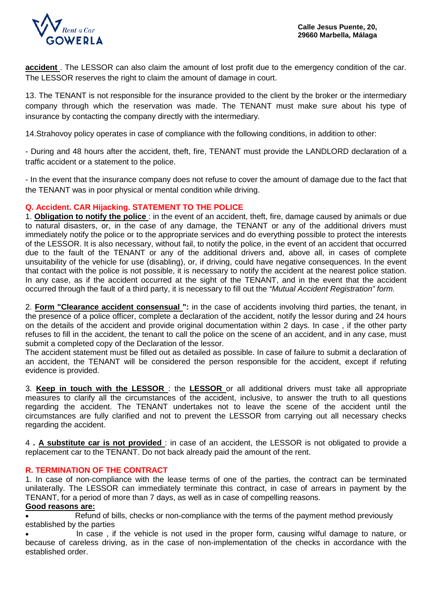

**accident** . The LESSOR can also claim the amount of lost profit due to the emergency condition of the car. The LESSOR reserves the right to claim the amount of damage in court.

13. The TENANT is not responsible for the insurance provided to the client by the broker or the intermediary company through which the reservation was made. The TENANT must make sure about his type of insurance by contacting the company directly with the intermediary.

14.Strahovoy policy operates in case of compliance with the following conditions, in addition to other:

- During and 48 hours after the accident, theft, fire, TENANT must provide the LANDLORD declaration of a traffic accident or a statement to the police.

- In the event that the insurance company does not refuse to cover the amount of damage due to the fact that the TENANT was in poor physical or mental condition while driving.

# **Q. Accident. CAR Hijacking. STATEMENT TO THE POLICE**

1. **Obligation to notify the police** : in the event of an accident, theft, fire, damage caused by animals or due to natural disasters, or, in the case of any damage, the TENANT or any of the additional drivers must immediately notify the police or to the appropriate services and do everything possible to protect the interests of the LESSOR. It is also necessary, without fail, to notify the police, in the event of an accident that occurred due to the fault of the TENANT or any of the additional drivers and, above all, in cases of complete unsuitability of the vehicle for use (disabling), or, if driving, could have negative consequences. In the event that contact with the police is not possible, it is necessary to notify the accident at the nearest police station. In any case, as if the accident occurred at the sight of the TENANT, and in the event that the accident occurred through the fault of a third party, it is necessary to fill out the *"Mutual Accident Registration" form.*

2. **Form "Clearance accident consensual ":** in the case of accidents involving third parties, the tenant, in the presence of a police officer, complete a declaration of the accident, notify the lessor during and 24 hours on the details of the accident and provide original documentation within 2 days. In case , if the other party refuses to fill in the accident, the tenant to call the police on the scene of an accident, and in any case, must submit a completed copy of the Declaration of the lessor.

The accident statement must be filled out as detailed as possible. In case of failure to submit a declaration of an accident, the TENANT will be considered the person responsible for the accident, except if refuting evidence is provided.

3. **Keep in touch with the LESSOR** : the **LESSOR** or all additional drivers must take all appropriate measures to clarify all the circumstances of the accident, inclusive, to answer the truth to all questions regarding the accident. The TENANT undertakes not to leave the scene of the accident until the circumstances are fully clarified and not to prevent the LESSOR from carrying out all necessary checks regarding the accident.

4 **. A substitute car is not provided** : in case of an accident, the LESSOR is not obligated to provide a replacement car to the TENANT. Do not back already paid the amount of the rent.

### **R. TERMINATION OF THE CONTRACT**

1. In case of non-compliance with the lease terms of one of the parties, the contract can be terminated unilaterally. The LESSOR can immediately terminate this contract, in case of arrears in payment by the TENANT, for a period of more than 7 days, as well as in case of compelling reasons.

#### **Good reasons are:**

• Refund of bills, checks or non-compliance with the terms of the payment method previously established by the parties

In case, if the vehicle is not used in the proper form, causing wilful damage to nature, or because of careless driving, as in the case of non-implementation of the checks in accordance with the established order.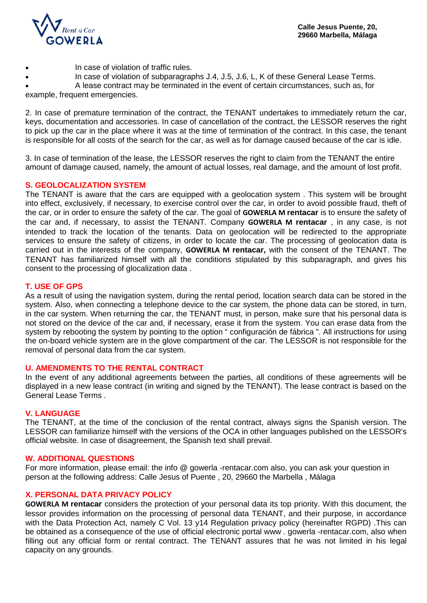

- In case of violation of traffic rules.
- In case of violation of subparagraphs J.4, J.5, J.6, L, K of these General Lease Terms.
	- A lease contract may be terminated in the event of certain circumstances, such as, for

example, frequent emergencies.

2. In case of premature termination of the contract, the TENANT undertakes to immediately return the car, keys, documentation and accessories. In case of cancellation of the contract, the LESSOR reserves the right to pick up the car in the place where it was at the time of termination of the contract. In this case, the tenant is responsible for all costs of the search for the car, as well as for damage caused because of the car is idle.

3. In case of termination of the lease, the LESSOR reserves the right to claim from the TENANT the entire amount of damage caused, namely, the amount of actual losses, real damage, and the amount of lost profit.

#### **S. GEOLOCALIZATION SYSTEM**

The TENANT is aware that the cars are equipped with a geolocation system . This system will be brought into effect, exclusively, if necessary, to exercise control over the car, in order to avoid possible fraud, theft of the car, or in order to ensure the safety of the car. The goal of **GOWERLA M rentacar** is to ensure the safety of the car and, if necessary, to assist the TENANT. Company **GOWERLA M rentacar** , in any case, is not intended to track the location of the tenants. Data on geolocation will be redirected to the appropriate services to ensure the safety of citizens, in order to locate the car. The processing of geolocation data is carried out in the interests of the company, **GOWERLA M rentacar,** with the consent of the TENANT. The TENANT has familiarized himself with all the conditions stipulated by this subparagraph, and gives his consent to the processing of glocalization data .

#### **T. USE OF GPS**

As a result of using the navigation system, during the rental period, location search data can be stored in the system. Also, when connecting a telephone device to the car system, the phone data can be stored, in turn, in the car system. When returning the car, the TENANT must, in person, make sure that his personal data is not stored on the device of the car and, if necessary, erase it from the system. You can erase data from the system by rebooting the system by pointing to the option " configuración de fábrica ". All instructions for using the on-board vehicle system are in the glove compartment of the car. The LESSOR is not responsible for the removal of personal data from the car system.

#### **U. AMENDMENTS TO THE RENTAL CONTRACT**

In the event of any additional agreements between the parties, all conditions of these agreements will be displayed in a new lease contract (in writing and signed by the TENANT). The lease contract is based on the General Lease Terms .

#### **V. LANGUAGE**

The TENANT, at the time of the conclusion of the rental contract, always signs the Spanish version. The LESSOR can familiarize himself with the versions of the OCA in other languages published on the LESSOR's official website. In case of disagreement, the Spanish text shall prevail.

#### **W. ADDITIONAL QUESTIONS**

For more information, please email: the info @ gowerla -rentacar.com also, you can ask your question in person at the following address: Calle Jesus of Puente , 20, 29660 the Marbella , Málaga

### **X. PERSONAL DATA PRIVACY POLICY**

**GOWERLA M rentacar** considers the protection of your personal data its top priority. With this document, the lessor provides information on the processing of personal data TENANT, and their purpose, in accordance with the Data Protection Act, namely C Vol. 13 y14 Regulation privacy policy (hereinafter RGPD) .This can be obtained as a consequence of the use of official electronic portal www . gowerla -rentacar.com, also when filling out any official form or rental contract. The TENANT assures that he was not limited in his legal capacity on any grounds.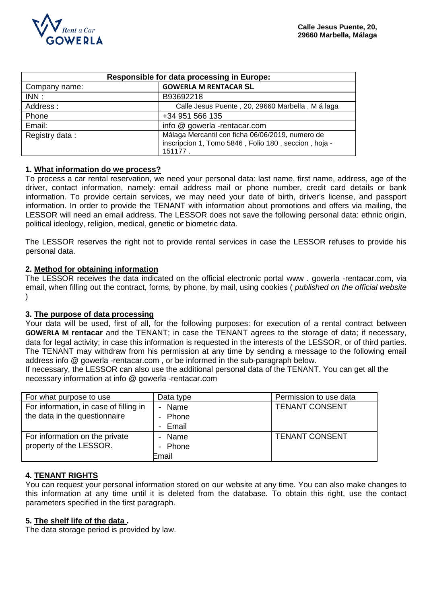

| <b>Responsible for data processing in Europe:</b> |                                                                                                                     |  |
|---------------------------------------------------|---------------------------------------------------------------------------------------------------------------------|--|
| Company name:                                     | <b>GOWERLA M RENTACAR SL</b>                                                                                        |  |
| INN:                                              | B93692218                                                                                                           |  |
| Address:                                          | Calle Jesus Puente, 20, 29660 Marbella, M á laga                                                                    |  |
| Phone                                             | +34 951 566 135                                                                                                     |  |
| Email:                                            | info @ gowerla -rentacar.com                                                                                        |  |
| Registry data:                                    | Málaga Mercantil con ficha 06/06/2019, numero de<br>inscripcion 1, Tomo 5846, Folio 180, seccion, hoja -<br>151177. |  |

### **1. What information do we process?**

To process a car rental reservation, we need your personal data: last name, first name, address, age of the driver, contact information, namely: email address mail or phone number, credit card details or bank information. To provide certain services, we may need your date of birth, driver's license, and passport information. In order to provide the TENANT with information about promotions and offers via mailing, the LESSOR will need an email address. The LESSOR does not save the following personal data: ethnic origin, political ideology, religion, medical, genetic or biometric data.

The LESSOR reserves the right not to provide rental services in case the LESSOR refuses to provide his personal data.

### **2. Method for obtaining information**

The LESSOR receives the data indicated on the official electronic portal www . gowerla -rentacar.com, via email, when filling out the contract, forms, by phone, by mail, using cookies ( *published on the official website*  )

### **3. The purpose of data processing**

Your data will be used, first of all, for the following purposes: for execution of a rental contract between **GOWERLA M rentacar** and the TENANT; in case the TENANT agrees to the storage of data; if necessary, data for legal activity; in case this information is requested in the interests of the LESSOR, or of third parties. The TENANT may withdraw from his permission at any time by sending a message to the following email address info @ gowerla -rentacar.com , or be informed in the sub-paragraph below.

If necessary, the LESSOR can also use the additional personal data of the TENANT. You can get all the necessary information at info @ gowerla -rentacar.com

| For what purpose to use                | Data type | Permission to use data |
|----------------------------------------|-----------|------------------------|
| For information, in case of filling in | - Name    | <b>TENANT CONSENT</b>  |
| the data in the questionnaire          | - Phone   |                        |
|                                        | - Email   |                        |
| For information on the private         | - Name    | <b>TENANT CONSENT</b>  |
| property of the LESSOR.                | - Phone   |                        |
|                                        | Email     |                        |

### **4. TENANT RIGHTS**

You can request your personal information stored on our website at any time. You can also make changes to this information at any time until it is deleted from the database. To obtain this right, use the contact parameters specified in the first paragraph.

### **5. The shelf life of the data .**

The data storage period is provided by law.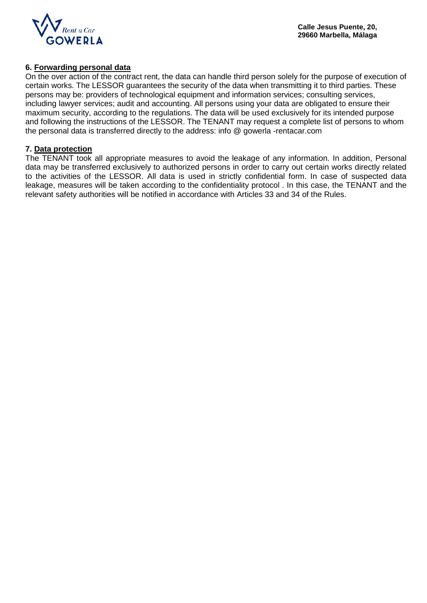

### **6. Forwarding personal data**

On the over action of the contract rent, the data can handle third person solely for the purpose of execution of certain works. The LESSOR guarantees the security of the data when transmitting it to third parties. These persons may be: providers of technological equipment and information services; consulting services, including lawyer services; audit and accounting. All persons using your data are obligated to ensure their maximum security, according to the regulations. The data will be used exclusively for its intended purpose and following the instructions of the LESSOR. The TENANT may request a complete list of persons to whom the personal data is transferred directly to the address: info @ gowerla -rentacar.com

#### **7. Data protection**

The TENANT took all appropriate measures to avoid the leakage of any information. In addition, Personal data may be transferred exclusively to authorized persons in order to carry out certain works directly related to the activities of the LESSOR. All data is used in strictly confidential form. In case of suspected data leakage, measures will be taken according to the confidentiality protocol . In this case, the TENANT and the relevant safety authorities will be notified in accordance with Articles 33 and 34 of the Rules.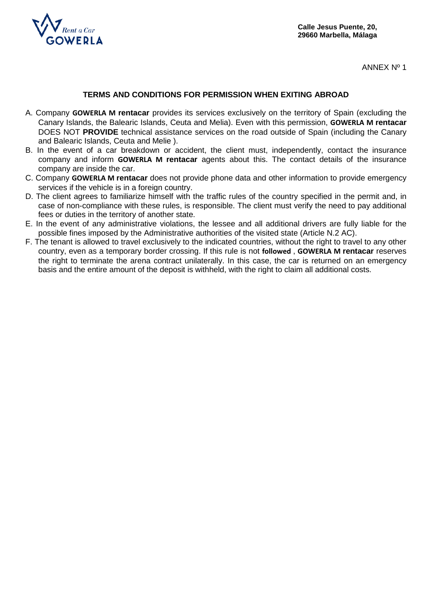

ANNEX Nº 1

### **TERMS AND CONDITIONS FOR PERMISSION WHEN EXITING ABROAD**

- A. Company **GOWERLA M rentacar** provides its services exclusively on the territory of Spain (excluding the Canary Islands, the Balearic Islands, Ceuta and Melia). Even with this permission, **GOWERLA M rentacar**  DOES NOT **PROVIDE** technical assistance services on the road outside of Spain (including the Canary and Balearic Islands, Ceuta and Melie ).
- B. In the event of a car breakdown or accident, the client must, independently, contact the insurance company and inform **GOWERLA M rentacar** agents about this. The contact details of the insurance company are inside the car.
- C. Company **GOWERLA M rentacar** does not provide phone data and other information to provide emergency services if the vehicle is in a foreign country.
- D. The client agrees to familiarize himself with the traffic rules of the country specified in the permit and, in case of non-compliance with these rules, is responsible. The client must verify the need to pay additional fees or duties in the territory of another state.
- E. In the event of any administrative violations, the lessee and all additional drivers are fully liable for the possible fines imposed by the Administrative authorities of the visited state (Article N.2 AC).
- F. The tenant is allowed to travel exclusively to the indicated countries, without the right to travel to any other country, even as a temporary border crossing. If this rule is not **followed** , **GOWERLA M rentacar** reserves the right to terminate the arena contract unilaterally. In this case, the car is returned on an emergency basis and the entire amount of the deposit is withheld, with the right to claim all additional costs.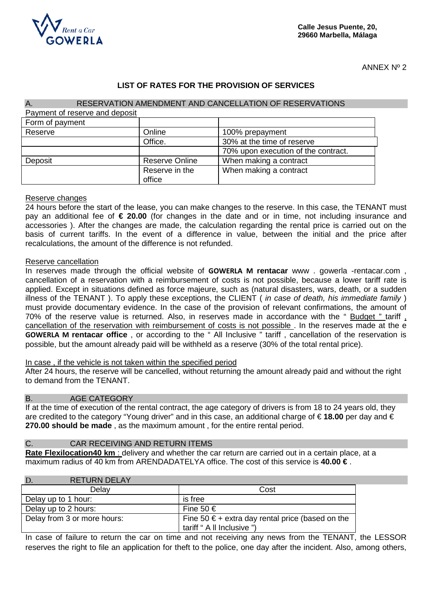

ANNEX Nº 2

# **LIST OF RATES FOR THE PROVISION OF SERVICES**

| RESERVATION AMENDMENT AND CANCELLATION OF RESERVATIONS<br>A. |                       |                                     |  |
|--------------------------------------------------------------|-----------------------|-------------------------------------|--|
| Payment of reserve and deposit                               |                       |                                     |  |
| Form of payment                                              |                       |                                     |  |
| Reserve                                                      | Online                | 100% prepayment                     |  |
|                                                              | Office.               | 30% at the time of reserve          |  |
|                                                              |                       | 70% upon execution of the contract. |  |
| Deposit                                                      | <b>Reserve Online</b> | When making a contract              |  |
|                                                              | Reserve in the        | When making a contract              |  |
|                                                              | office                |                                     |  |

#### Reserve changes

24 hours before the start of the lease, you can make changes to the reserve. In this case, the TENANT must pay an additional fee of **€ 20.00** (for changes in the date and or in time, not including insurance and accessories ). After the changes are made, the calculation regarding the rental price is carried out on the basis of current tariffs. In the event of a difference in value, between the initial and the price after recalculations, the amount of the difference is not refunded.

#### Reserve cancellation

In reserves made through the official website of **GOWERLA M rentacar** www . gowerla -rentacar.com , cancellation of a reservation with a reimbursement of costs is not possible, because a lower tariff rate is applied. Except in situations defined as force majeure, such as (natural disasters, wars, death, or a sudden illness of the TENANT ). To apply these exceptions, the CLIENT ( *in case of death, his immediate family* ) must provide documentary evidence. In the case of the provision of relevant confirmations, the amount of 70% of the reserve value is returned. Also, in reserves made in accordance with the " Budget " tariff , cancellation of the reservation with reimbursement of costs is not possible . In the reserves made at the e **GOWERLA M rentacar office** , or according to the " All Inclusive " tariff , cancellation of the reservation is possible, but the amount already paid will be withheld as a reserve (30% of the total rental price).

#### In case , if the vehicle is not taken within the specified period

After 24 hours, the reserve will be cancelled, without returning the amount already paid and without the right to demand from the TENANT.

#### B. AGE CATEGORY

If at the time of execution of the rental contract, the age category of drivers is from 18 to 24 years old, they are credited to the category "Young driver" and in this case, an additional charge of € **18.00** per day and € **270.00 should be made** , as the maximum amount , for the entire rental period.

### C. CAR RECEIVING AND RETURN ITEMS

**Rate Flexilocation40 km** : delivery and whether the car return are carried out in a certain place, at a maximum radius of 40 km from ARENDADATELYA office. The cost of this service is **40.00 €** .

| <b>RETURN DELAY</b><br>D.   |                                                                                         |
|-----------------------------|-----------------------------------------------------------------------------------------|
| Delay                       | Cost                                                                                    |
| Delay up to 1 hour:         | is free                                                                                 |
| Delay up to 2 hours:        | Fine 50 €                                                                               |
| Delay from 3 or more hours: | Fine 50 $\epsilon$ + extra day rental price (based on the<br>tariff " A II Inclusive ") |

In case of failure to return the car on time and not receiving any news from the TENANT, the LESSOR reserves the right to file an application for theft to the police, one day after the incident. Also, among others,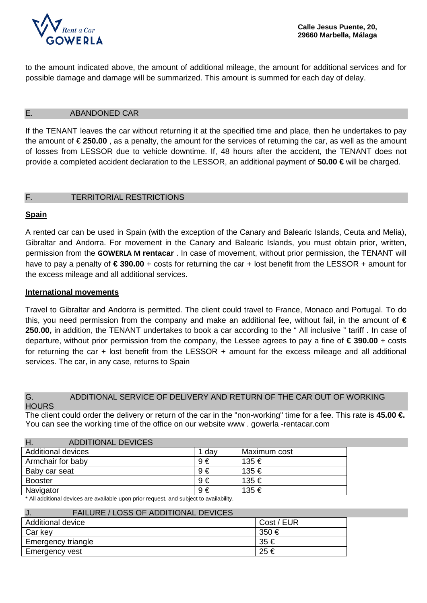

to the amount indicated above, the amount of additional mileage, the amount for additional services and for possible damage and damage will be summarized. This amount is summed for each day of delay.

### E. ABANDONED CAR

If the TENANT leaves the car without returning it at the specified time and place, then he undertakes to pay the amount of € **250.00** , as a penalty, the amount for the services of returning the car, as well as the amount of losses from LESSOR due to vehicle downtime. If, 48 hours after the accident, the TENANT does not provide a completed accident declaration to the LESSOR, an additional payment of **50.00 €** will be charged.

# F. TERRITORIAL RESTRICTIONS

# **Spain**

A rented car can be used in Spain (with the exception of the Canary and Balearic Islands, Ceuta and Melia), Gibraltar and Andorra. For movement in the Canary and Balearic Islands, you must obtain prior, written, permission from the **GOWERLA M rentacar** . In case of movement, without prior permission, the TENANT will have to pay a penalty of **€ 390.00** + costs for returning the car + lost benefit from the LESSOR + amount for the excess mileage and all additional services.

### **International movements**

Travel to Gibraltar and Andorra is permitted. The client could travel to France, Monaco and Portugal. To do this, you need permission from the company and make an additional fee, without fail, in the amount of **€ 250.00,** in addition, the TENANT undertakes to book a car according to the " All inclusive " tariff . In case of departure, without prior permission from the company, the Lessee agrees to pay a fine of **€ 390.00** + costs for returning the car + lost benefit from the LESSOR + amount for the excess mileage and all additional services. The car, in any case, returns to Spain

#### G. ADDITIONAL SERVICE OF DELIVERY AND RETURN OF THE CAR OUT OF WORKING **HOURS**

The client could order the delivery or return of the car in the "non-working" time for a fee. This rate is **45.00 €.**  You can see the working time of the office on our website www . gowerla -rentacar.com

| Η.<br><b>ADDITIONAL DEVICES</b> |         |              |
|---------------------------------|---------|--------------|
| <b>Additional devices</b>       | 1 dav   | Maximum cost |
| Armchair for baby               | $9 \in$ | 135 €        |
| Baby car seat                   | $9 \in$ | 135 €        |
| <b>Booster</b>                  | $9 \in$ | 135 €        |
| Navigator                       | $9 \in$ | 135 €        |

\* All additional devices are available upon prior request, and subject to availability.

| <b>FAILURE / LOSS OF ADDITIONAL DEVICES</b><br>J. |            |
|---------------------------------------------------|------------|
| <b>Additional device</b>                          | Cost / EUR |
| Car key                                           | 350€       |
| Emergency triangle                                | 35€        |
| Emergency vest                                    | 25€        |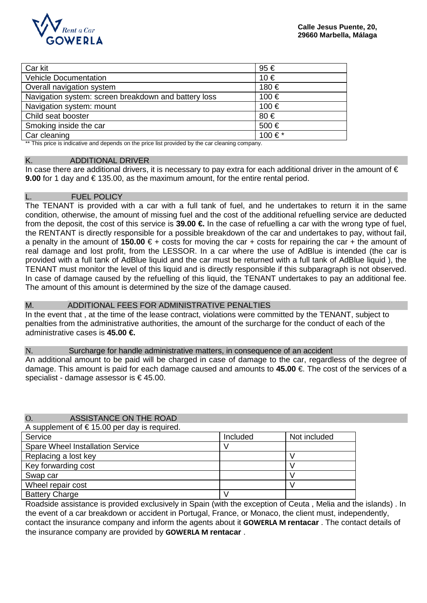

| Car kit                                                                                                                                                                                                                                 | 95€    |
|-----------------------------------------------------------------------------------------------------------------------------------------------------------------------------------------------------------------------------------------|--------|
| <b>Vehicle Documentation</b>                                                                                                                                                                                                            | 10€    |
| Overall navigation system                                                                                                                                                                                                               | 180 €  |
| Navigation system: screen breakdown and battery loss                                                                                                                                                                                    | 100 €  |
| Navigation system: mount                                                                                                                                                                                                                | 100 €  |
| Child seat booster                                                                                                                                                                                                                      | 80€    |
| Smoking inside the car                                                                                                                                                                                                                  | 500€   |
| Car cleaning                                                                                                                                                                                                                            | 100 €* |
| $\mathcal{L}$ and $\mathcal{L}$ are associated as a set of the set of the set of the set of the set of the set of the set of the set of the set of the set of the set of the set of the set of the set of the set of the set of the set |        |

This price is indicative and depends on the price list provided by the car cleaning company.

#### K. ADDITIONAL DRIVER

In case there are additional drivers, it is necessary to pay extra for each additional driver in the amount of  $\epsilon$ **9.00** for 1 day and € 135.00, as the maximum amount, for the entire rental period.

#### L. FUEL POLICY

The TENANT is provided with a car with a full tank of fuel, and he undertakes to return it in the same condition, otherwise, the amount of missing fuel and the cost of the additional refuelling service are deducted from the deposit, the cost of this service is **39.00 €** In the case of refuelling a car with the wrong type of fuel, the RENTANT is directly responsible for a possible breakdown of the car and undertakes to pay, without fail, a penalty in the amount of **150.00** € + costs for moving the car + costs for repairing the car + the amount of real damage and lost profit, from the LESSOR. In a car where the use of AdBlue is intended (the car is provided with a full tank of AdBlue liquid and the car must be returned with a full tank of AdBlue liquid ), the TENANT must monitor the level of this liquid and is directly responsible if this subparagraph is not observed. In case of damage caused by the refuelling of this liquid, the TENANT undertakes to pay an additional fee. The amount of this amount is determined by the size of the damage caused.

M. ADDITIONAL FEES FOR ADMINISTRATIVE PENALTIES In the event that , at the time of the lease contract, violations were committed by the TENANT, subject to penalties from the administrative authorities, the amount of the surcharge for the conduct of each of the administrative cases is **45.00 €.**

#### N. Surcharge for handle administrative matters, in consequence of an accident

An additional amount to be paid will be charged in case of damage to the car, regardless of the degree of damage. This amount is paid for each damage caused and amounts to **45.00** €. The cost of the services of a specialist - damage assessor is  $\epsilon$  45.00.

#### O. ASSISTANCE ON THE ROAD

A supplement of  $\epsilon$  15.00 per day is required.

| Service                                 | Included | Not included |
|-----------------------------------------|----------|--------------|
| <b>Spare Wheel Installation Service</b> |          |              |
| Replacing a lost key                    |          |              |
| Key forwarding cost                     |          |              |
| Swap car                                |          |              |
| Wheel repair cost                       |          |              |
| <b>Battery Charge</b>                   |          |              |

Roadside assistance is provided exclusively in Spain (with the exception of Ceuta , Melia and the islands) . In the event of a car breakdown or accident in Portugal, France, or Monaco, the client must, independently, contact the insurance company and inform the agents about it **GOWERLA M rentacar** . The contact details of the insurance company are provided by **GOWERLA M rentacar** .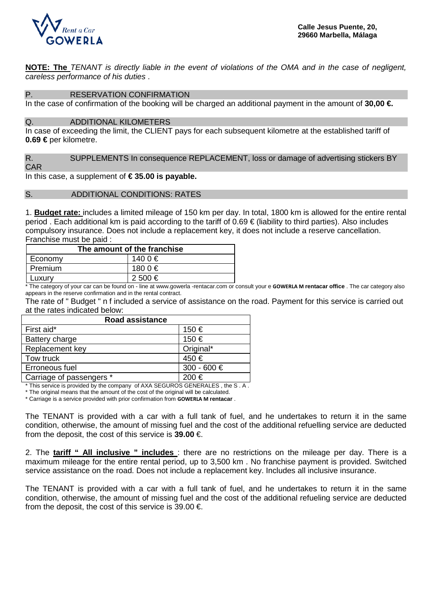

**NOTE: The** *TENANT is directly liable in the event of violations of the OMA and in the case of negligent, careless performance of his duties* .

P. RESERVATION CONFIRMATION

In the case of confirmation of the booking will be charged an additional payment in the amount of **30,00 €.**

#### Q. ADDITIONAL KILOMETERS

In case of exceeding the limit, the CLIENT pays for each subsequent kilometre at the established tariff of **0.69 €** per kilometre.

R. SUPPLEMENTS In consequence REPLACEMENT, loss or damage of advertising stickers BY CAR

In this case, a supplement of **€ 35.00 is payable.**

#### S. ADDITIONAL CONDITIONS: RATES

1. **Budget rate:** includes a limited mileage of 150 km per day. In total, 1800 km is allowed for the entire rental period . Each additional km is paid according to the tariff of 0.69 € (liability to third parties). Also includes compulsory insurance. Does not include a replacement key, it does not include a reserve cancellation. Franchise must be paid :

| The amount of the franchise |           |  |  |
|-----------------------------|-----------|--|--|
| Economy                     | 140 0 €   |  |  |
| Premium                     | 180 0 €   |  |  |
| _uxurv                      | $2,500$ € |  |  |

\* The category of your car can be found on - line at www.gowerla -rentacar.com or consult your e **GOWERLA M rentacar office** . The car category also appears in the reserve confirmation and in the rental contract.

The rate of " Budget " n f included a service of assistance on the road. Payment for this service is carried out at the rates indicated below:

| <b>Road assistance</b>   |             |  |
|--------------------------|-------------|--|
| First aid*               | 150 €       |  |
| Battery charge           | 150 €       |  |
| Replacement key          | Original*   |  |
| Tow truck                | 450€        |  |
| Erroneous fuel           | 300 - 600 € |  |
| Carriage of passengers * | 200€        |  |

\* This service is provided by the company of AXA SEGUROS GENERALES , the S . A .

\* The original means that the amount of the cost of the original will be calculated.

\* Carriage is a service provided with prior confirmation from **GOWERLA M rentacar** .

The TENANT is provided with a car with a full tank of fuel, and he undertakes to return it in the same condition, otherwise, the amount of missing fuel and the cost of the additional refuelling service are deducted from the deposit, the cost of this service is **39.00** €.

2. The **tariff " All inclusive " includes** : there are no restrictions on the mileage per day. There is a maximum mileage for the entire rental period, up to 3,500 km . No franchise payment is provided. Switched service assistance on the road. Does not include a replacement key. Includes all inclusive insurance.

The TENANT is provided with a car with a full tank of fuel, and he undertakes to return it in the same condition, otherwise, the amount of missing fuel and the cost of the additional refueling service are deducted from the deposit, the cost of this service is 39.00  $\epsilon$ .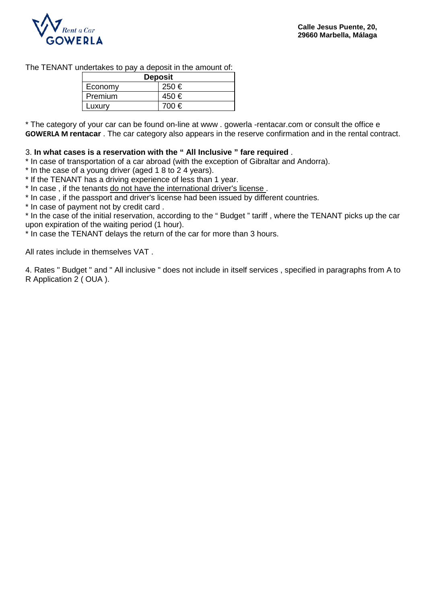

The TENANT undertakes to pay a deposit in the amount of:

| <b>Deposit</b> |           |  |
|----------------|-----------|--|
| Economy        | $250 \in$ |  |
| Premium        | 450€      |  |
| Luxury         | 700 €     |  |

\* The category of your car can be found on-line at www . gowerla -rentacar.com or consult the office e **GOWERLA M rentacar** . The car category also appears in the reserve confirmation and in the rental contract.

#### 3. **In what cases is a reservation with the " All Inclusive " fare required** .

\* In case of transportation of a car abroad (with the exception of Gibraltar and Andorra).

\* In the case of a young driver (aged 1 8 to 2 4 years).

\* If the TENANT has a driving experience of less than 1 year.

\* In case , if the tenants do not have the international driver's license .

\* In case , if the passport and driver's license had been issued by different countries.

\* In case of payment not by credit card .

\* In the case of the initial reservation, according to the " Budget " tariff , where the TENANT picks up the car upon expiration of the waiting period (1 hour).

\* In case the TENANT delays the return of the car for more than 3 hours.

All rates include in themselves VAT .

4. Rates " Budget " and " All inclusive " does not include in itself services , specified in paragraphs from A to R Application 2 ( OUA ).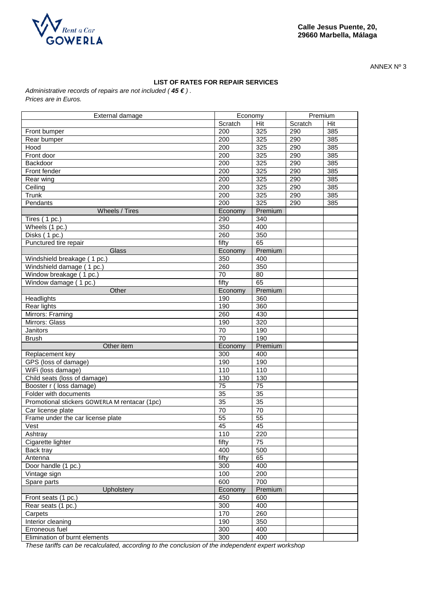

ANNEX Nº 3

#### **LIST OF RATES FOR REPAIR SERVICES**

*Administrative records of repairs are not included ( 45 € ) . Prices are in Euros.*

| External damage                               | Economy         |                  | Premium |     |
|-----------------------------------------------|-----------------|------------------|---------|-----|
|                                               | Scratch         | Hit              | Scratch | Hit |
| Front bumper                                  | 200             | 325              | 290     | 385 |
| Rear bumper                                   | 200             | $\overline{325}$ | 290     | 385 |
| Hood                                          | 200             | 325              | 290     | 385 |
| Front door                                    | 200             | 325              | 290     | 385 |
| Backdoor                                      | 200             | 325              | 290     | 385 |
| Front fender                                  | 200             | 325              | 290     | 385 |
| Rear wing                                     | 200             | 325              | 290     | 385 |
| Ceiling                                       | 200             | 325              | 290     | 385 |
| Trunk                                         | 200             | 325              | 290     | 385 |
| Pendants                                      | 200             | 325              | 290     | 385 |
| Wheels / Tires                                | Economy         | Premium          |         |     |
| Tires (1 pc.)                                 | 290             | 340              |         |     |
| Wheels (1 pc.)                                | 350             | 400              |         |     |
| Disks (1 pc.)                                 | 260             | 350              |         |     |
| Punctured tire repair                         | fifty           | 65               |         |     |
| Glass                                         | Economy         | Premium          |         |     |
| Windshield breakage (1 pc.)                   | 350             | 400              |         |     |
| Windshield damage (1 pc.)                     | 260             | 350              |         |     |
| Window breakage (1 pc.)                       | 70              | 80               |         |     |
| Window damage (1 pc.)                         | fifty           | 65               |         |     |
| Other                                         | Economy         | Premium          |         |     |
|                                               | 190             | 360              |         |     |
| Headlights                                    | 190             | 360              |         |     |
| Rear lights                                   |                 |                  |         |     |
| Mirrors: Framing                              | 260             | 430              |         |     |
| Mirrors: Glass                                | 190             | 320              |         |     |
| Janitors                                      | 70<br>70        | 190<br>190       |         |     |
| <b>Brush</b>                                  |                 |                  |         |     |
| Other item                                    | Economy         | Premium          |         |     |
| Replacement key                               | 300             | 400              |         |     |
| GPS (loss of damage)                          | 190             | 190              |         |     |
| WiFi (loss damage)                            | 110             | 110              |         |     |
| Child seats (loss of damage)                  | 130             | 130              |         |     |
| Booster r (loss damage)                       | $\overline{75}$ | $\overline{75}$  |         |     |
| Folder with documents                         | 35              | 35               |         |     |
| Promotional stickers GOWERLA M rentacar (1pc) | $\overline{35}$ | $\overline{35}$  |         |     |
| Car license plate                             | 70              | 70               |         |     |
| Frame under the car license plate             | $\overline{55}$ | $\overline{55}$  |         |     |
| Vest                                          | 45              | 45               |         |     |
| Ashtray                                       | 110             | 220              |         |     |
| Cigarette lighter                             | fifty           | 75               |         |     |
| Back tray                                     | 400             | 500              |         |     |
| Antenna                                       | fifty           | 65               |         |     |
| Door handle (1 pc.)                           | 300             | 400              |         |     |
| Vintage sign                                  | 100             | 200              |         |     |
| Spare parts                                   | 600             | 700              |         |     |
| Upholstery                                    | Economy         | Premium          |         |     |
| Front seats (1 pc.)                           | 450             | 600              |         |     |
| Rear seats (1 pc.)                            | 300             | 400              |         |     |
| Carpets                                       | 170             | 260              |         |     |
| Interior cleaning                             | 190             | 350              |         |     |
| Erroneous fuel                                | 300             | 400              |         |     |
| Elimination of burnt elements                 | 300             | 400              |         |     |

*These tariffs can be recalculated, according to the conclusion of the independent expert workshop*